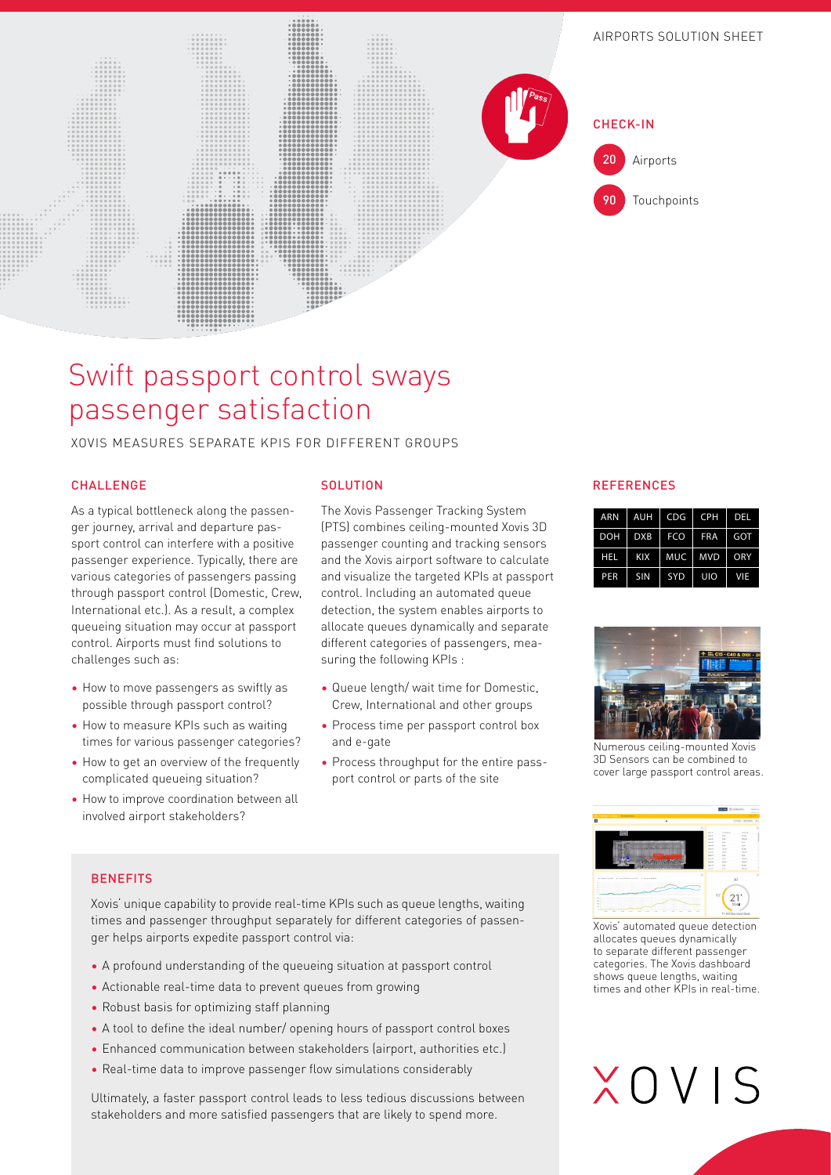

## Swift passport control sways passenger satisfaction

XOVIS MEASURES SEPARATE KPIS FOR DIFFERENT GROUPS

#### CHALLENGE

As a typical bottleneck along the passenger journey, arrival and departure passport control can interfere with a positive passenger experience. Typically, there are various categories of passengers passing through passport control (Domestic, Crew, International etc.). As a result, a complex queueing situation may occur at passport control. Airports must find solutions to challenges such as:

- How to move passengers as swiftly as possible through passport control?
- How to measure KPIs such as waiting times for various passenger categories?
- How to get an overview of the frequently complicated queueing situation?
- How to improve coordination between all involved airport stakeholders?

### SOLUTION

The Xovis Passenger Tracking System (PTS) combines ceiling-mounted Xovis 3D passenger counting and tracking sensors and the Xovis airport software to calculate and visualize the targeted KPIs at passport control. Including an automated queue detection, the system enables airports to allocate queues dynamically and separate different categories of passengers, measuring the following KPIs :

- Queue length/ wait time for Domestic, Crew, International and other groups
- Process time per passport control box and e-gate
- Process throughput for the entire passport control or parts of the site

### **REFERENCES**

|  | <b>ARN</b> | AUH        | CDG        | <b>CPH</b> | DEL        |
|--|------------|------------|------------|------------|------------|
|  | <b>DOH</b> | <b>DXB</b> | <b>FCO</b> | <b>FRA</b> | GOT        |
|  | <b>HEL</b> | KIX        | <b>MUC</b> | <b>MVD</b> | ORY        |
|  | PER        | <b>SIN</b> | SYD        | <b>UIO</b> | <b>VIE</b> |



Numerous ceiling-mounted Xovis 3D Sensors can be combined to cover large passport control areas.



Xovis' automated queue detection allocates queues dynamically to separate different passenger categories. The Xovis dashboard shows queue lengths, waiting times and other KPIs in real-time.

### **BENEFITS**

Xovis' unique capability to provide real-time KPIs such as queue lengths, waiting times and passenger throughput separately for different categories of passenger helps airports expedite passport control via:

- A profound understanding of the queueing situation at passport control
- Actionable real-time data to prevent queues from growing
- Robust basis for optimizing staff planning
- A tool to define the ideal number/ opening hours of passport control boxes
- Enhanced communication between stakeholders (airport, authorities etc.)
- Real-time data to improve passenger flow simulations considerably

Ultimately, a faster passport control leads to less tedious discussions between stakeholders and more satisfied passengers that are likely to spend more.

 $XOVIS$